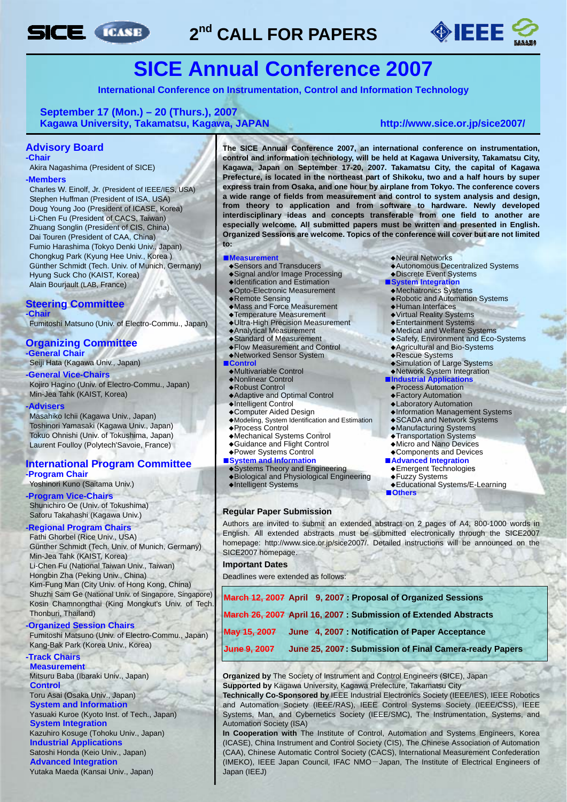

# **2nd CALL FOR PAPERS**



# **SICE Annual Conference 2007**

**International Conference on Instrumentation, Control and Information Technology**

#### **September 17 (Mon.) – 20 (Thurs.), 2007 Kagawa University, Takamatsu, Kagawa, JAPAN <http://www.sice.or.jp/sice2007/>**

#### **Advisory Board**

**-Chair** 

Akira Nagashima (President of SICE)

#### **-Members**

Charles W. Einolf, Jr. (President of IEEE/IES, USA) Stephen Huffman (President of ISA, USA) Doug Young Joo (President of ICASE, Korea) Li-Chen Fu (President of CACS, Taiwan) Zhuang Songlin (President of CIS, China) Dai Touren (President of CAA, China) Fumio Harashima (Tokyo Denki Univ., Japan) Chongkug Park (Kyung Hee Univ., Korea ) Günther Schmidt (Tech. Univ. of Munich, Germany) Hyung Suck Cho (KAIST, Korea) Alain Bourjault (LAB, France)

#### **Steering Committee -Chair**

Fumitoshi Matsuno (Univ. of Electro-Commu., Japan)

## **Organizing Committee**

**-General Chair** 

Seiji Hata (Kagawa Univ., Japan)

### **-General Vice-Chairs**

Kojiro Hagino (Univ. of Electro-Commu., Japan) Min-Jea Tahk (KAIST, Korea)

#### **-Advisers**

Masahiko Ichii (Kagawa Univ., Japan) Toshinori Yamasaki (Kagawa Univ., Japan) Tokuo Ohnishi (Univ. of Tokushima, Japan) Laurent Foulloy (Polytech'Savoie, France)

#### **International Program Committee -Program Chair**

#### Yoshinori Kuno (Saitama Univ.)

**-Program Vice-Chairs** Shunichiro Oe (Univ. of Tokushima) Satoru Takahashi (Kagawa Univ.)

#### **-Regional Program Chairs**

Fathi Ghorbel (Rice Univ., USA) Günther Schmidt (Tech. Univ. of Munich, Germany) Min-Jea Tahk (KAIST, Korea) Li-Chen Fu (National Taiwan Univ., Taiwan) Hongbin Zha (Peking Univ., China) Kim-Fung Man (City Univ. of Hong Kong, China) Shuzhi Sam Ge (National Univ. of Singapore, Singapore) Kosin Chamnongthai (King Mongkut's Univ. of Tech. Thonburi, Thailand)

### **-Organized Session Chairs**

Fumitoshi Matsuno (Univ. of Electro-Commu., Japan) Kang-Bak Park (Korea Univ., Korea)

## **-Track Chairs**

**Measurement**  Mitsuru Baba (Ibaraki Univ., Japan) **Control** 

### Toru Asai (Osaka Univ., Japan)

**System and Information**  Yasuaki Kuroe (Kyoto Inst. of Tech., Japan) **System Integration**

Kazuhiro Kosuge (Tohoku Univ., Japan) **Industrial Applications** Satoshi Honda (Keio Univ., Japan) **Advanced Integration**

Yutaka Maeda (Kansai Univ., Japan)

**The SICE Annual Conference 2007, an international conference on instrumentation, control and information technology, will be held at Kagawa University, Takamatsu City, Kagawa, Japan on September 17-20, 2007. Takamatsu City, the capital of Kagawa Prefecture, is located in the northeast part of Shikoku, two and a half hours by super express train from Osaka, and one hour by airplane from Tokyo. The conference covers a wide range of fields from measurement and control to system analysis and design, from theory to application and from software to hardware. Newly developed interdisciplinary ideas and concepts transferable from one field to another are especially welcome. All submitted papers must be written and presented in English. Organized Sessions are welcome. Topics of the conference will cover but are not limited to:** 

- ■**Measurement** ◆Neural Networks<br>◆Sensors and Transducers ◆ ◆Autonomous Dec
- ◆Signal and/or Image Processing<br>◆ Discrete Event System<br>◆Opto-Electronic Measurement ◆Mechatronics Systems
- ◆Identification and Estimation ◆Opto-Electronic Measurement
- 
- 
- → Remote Sensing<br>
→ Mass and Force Measurement<br>
→ Temperature Measurement<br>
→ Temperature Measurement<br>
→ Virtual Reality Systems
- ◆Temperature Measurement ◆Virtual Reality Systems
- ◆Ultra-High Precision Measurement<br>◆Analytical Measurement
- 
- 
- ◆Flow Measurement and Control ◆Agricultural and Bio-Systems ◆Networked Sensor System<br>Control

- 
- 
- 
- 
- ◆Intelligent Control ◆Laboratory Automation
- 
- ◆Modeling, System Identification and Estimation<br>◆Process Control
	-
- ◆Mechanical Systems Control ◆Transportation Systems
- ◆Guidance and Flight Control<br>◆Power Systems Control
- 
- 
- ■**System and Information**<br>●**Systems Theory and Engineering ●**<br>● Emergent Technologies ◆Systems Theory and Engineering◆Emergent Technologies
- ◆Biological and Physiological Engineering ◆Fuzzy Systems
- 

#### **Regular Paper Submission**

- 
- ◆Autonomous Decentralized Systems<br>◆Discrete Event Systems
- 
- 
- 
- ◆Robotic and Automation Systems<br>◆Human Interfaces
- 
- 
- 
- ◆Analytical Measurement ◆Medical and Welfare Systems
	- ◆Safety, Environment and Eco-Systems<br>◆Agricultural and Bio-Systems
	-
	-
- **Control**<br>
◆**Simulation of Large Systems**<br>
◆**Network System Integration** ◆Multivariable Control◆Network System Integration
- ◆Nonlinear Control ■**Industrial Applications**
- ◆Robust Control ◆Process Automation
- ◆Adaptive and Optimal Control ◆Factory Automation
	-
	- ◆Information Management Systems<br>◆SCADA and Network Systems
	-
	- ◆Manufacturing Systems<br>◆Transportation Systems
	-
	-
	- ◆Components and Devices<br>■ Advanced Integration
		-
		-
- ◆Intelligent Systems ◆Educational Systems/E-Learning
	- ■**Others**

Authors are invited to submit an extended abstract on 2 pages of A4, 800-1000 words in English. All extended abstracts must be submitted electronically through the SICE2007 homepage: http://www.sice.or.jp/sice2007/. Detailed instructions will be announced on the SICE2007 homepage.

#### **Important Dates**

Deadlines were extended as follows:

| March 26, 2007 April 16, 2007 : Submission of Extended Abstracts |
|------------------------------------------------------------------|
|                                                                  |
| June 25, 2007: Submission of Final Camera-ready Papers           |
|                                                                  |

**Organized by** The Society of Instrument and Control Engineers (SICE), Japan **Supported by** Kagawa University, Kagawa Prefecture, Takamatsu City

**Technically Co-Sponsored by** IEEE Industrial Electronics Society (IEEE/IES), IEEE Robotics and Automation Society (IEEE/RAS), IEEE Control Systems Society (IEEE/CSS), IEEE Systems, Man, and Cybernetics Society (IEEE/SMC), The Instrumentation, Systems, and Automation Society (ISA)

**In Cooperation with** The Institute of Control, Automation and Systems Engineers, Korea (ICASE), China Instrument and Control Society (CIS), The Chinese Association of Automation (CAA), Chinese Automatic Control Society (CACS), International Measurement Confederation (IMEKO), IEEE Japan Council, IFAC NMO-Japan, The Institute of Electrical Engineers of Japan (IEEJ)